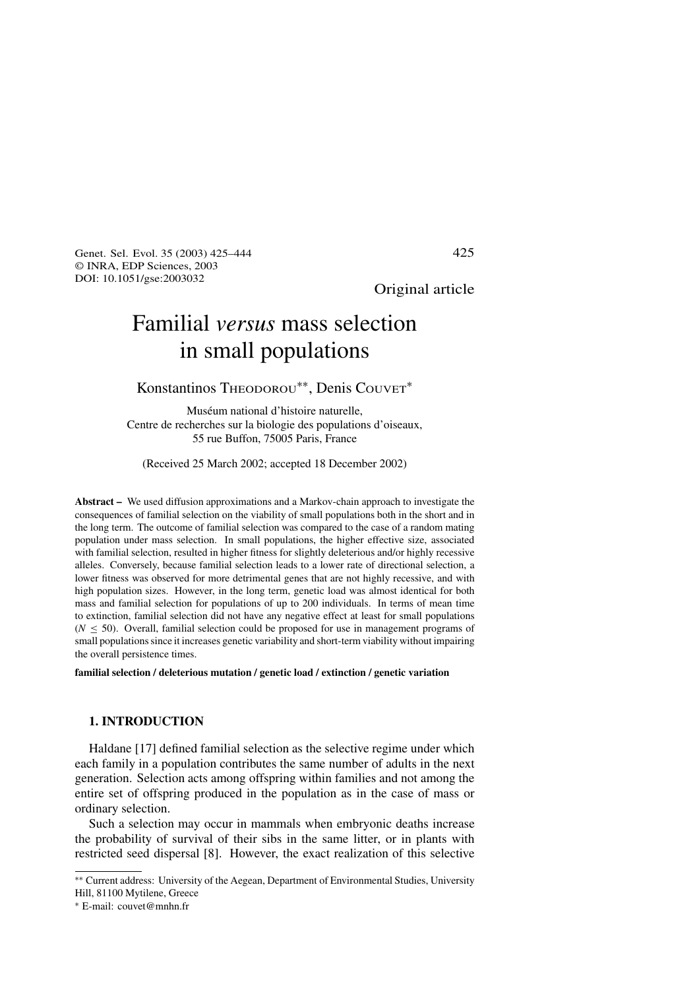Original article

# Familial *versus* mass selection in small populations

Konstantinos THEODOROU<sup>\*\*</sup>, Denis COUVET<sup>\*</sup>

Muséum national d'histoire naturelle, Centre de recherches sur la biologie des populations d'oiseaux, 55 rue Buffon, 75005 Paris, France

(Received 25 March 2002; accepted 18 December 2002)

**Abstract –** We used diffusion approximations and a Markov-chain approach to investigate the consequences of familial selection on the viability of small populations both in the short and in the long term. The outcome of familial selection was compared to the case of a random mating population under mass selection. In small populations, the higher effective size, associated with familial selection, resulted in higher fitness for slightly deleterious and/or highly recessive alleles. Conversely, because familial selection leads to a lower rate of directional selection, a lower fitness was observed for more detrimental genes that are not highly recessive, and with high population sizes. However, in the long term, genetic load was almost identical for both mass and familial selection for populations of up to 200 individuals. In terms of mean time to extinction, familial selection did not have any negative effect at least for small populations  $(N \leq 50)$ . Overall, familial selection could be proposed for use in management programs of small populations since it increases genetic variability and short-term viability without impairing the overall persistence times.

## **familial selection / deleterious mutation / genetic load / extinction / genetic variation**

## **1. INTRODUCTION**

Haldane [17] defined familial selection as the selective regime under which each family in a population contributes the same number of adults in the next generation. Selection acts among offspring within families and not among the entire set of offspring produced in the population as in the case of mass or ordinary selection.

Such a selection may occur in mammals when embryonic deaths increase the probability of survival of their sibs in the same litter, or in plants with restricted seed dispersal [8]. However, the exact realization of this selective

<sup>∗∗</sup> Current address: University of the Aegean, Department of Environmental Studies, University Hill, 81100 Mytilene, Greece

<sup>∗</sup> E-mail: couvet@mnhn.fr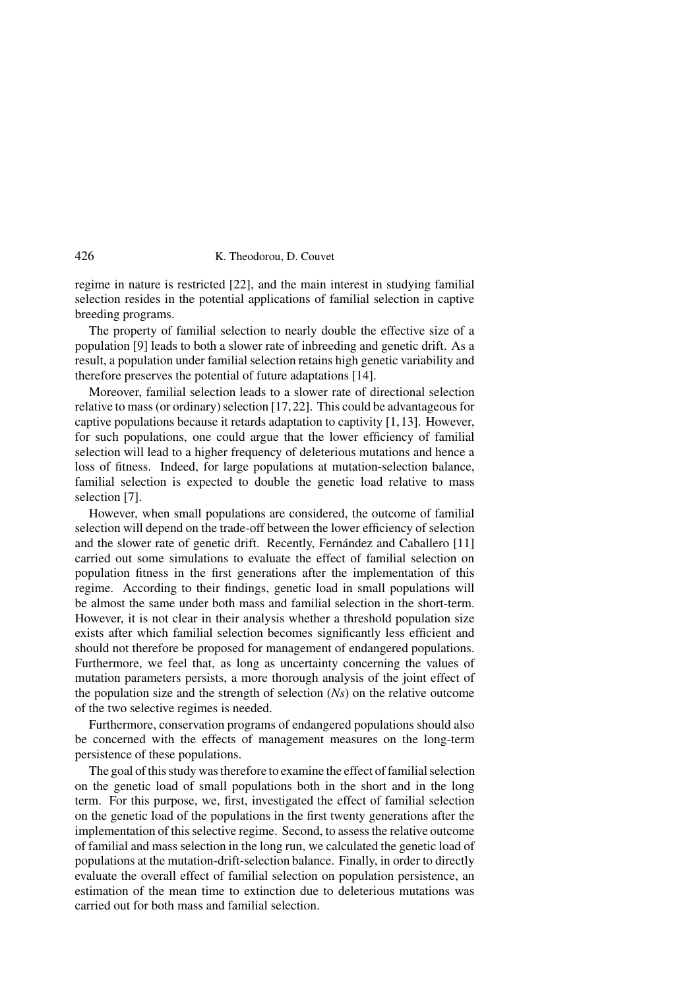regime in nature is restricted [22], and the main interest in studying familial selection resides in the potential applications of familial selection in captive breeding programs.

The property of familial selection to nearly double the effective size of a population [9] leads to both a slower rate of inbreeding and genetic drift. As a result, a population under familial selection retains high genetic variability and therefore preserves the potential of future adaptations [14].

Moreover, familial selection leads to a slower rate of directional selection relative to mass (or ordinary) selection [17,22]. This could be advantageous for captive populations because it retards adaptation to captivity [1,13]. However, for such populations, one could argue that the lower efficiency of familial selection will lead to a higher frequency of deleterious mutations and hence a loss of fitness. Indeed, for large populations at mutation-selection balance, familial selection is expected to double the genetic load relative to mass selection [7].

However, when small populations are considered, the outcome of familial selection will depend on the trade-off between the lower efficiency of selection and the slower rate of genetic drift. Recently, Fernández and Caballero [11] carried out some simulations to evaluate the effect of familial selection on population fitness in the first generations after the implementation of this regime. According to their findings, genetic load in small populations will be almost the same under both mass and familial selection in the short-term. However, it is not clear in their analysis whether a threshold population size exists after which familial selection becomes significantly less efficient and should not therefore be proposed for management of endangered populations. Furthermore, we feel that, as long as uncertainty concerning the values of mutation parameters persists, a more thorough analysis of the joint effect of the population size and the strength of selection (*Ns*) on the relative outcome of the two selective regimes is needed.

Furthermore, conservation programs of endangered populations should also be concerned with the effects of management measures on the long-term persistence of these populations.

The goal of this study was therefore to examine the effect of familial selection on the genetic load of small populations both in the short and in the long term. For this purpose, we, first, investigated the effect of familial selection on the genetic load of the populations in the first twenty generations after the implementation of this selective regime. Second, to assess the relative outcome of familial and mass selection in the long run, we calculated the genetic load of populations at the mutation-drift-selection balance. Finally, in order to directly evaluate the overall effect of familial selection on population persistence, an estimation of the mean time to extinction due to deleterious mutations was carried out for both mass and familial selection.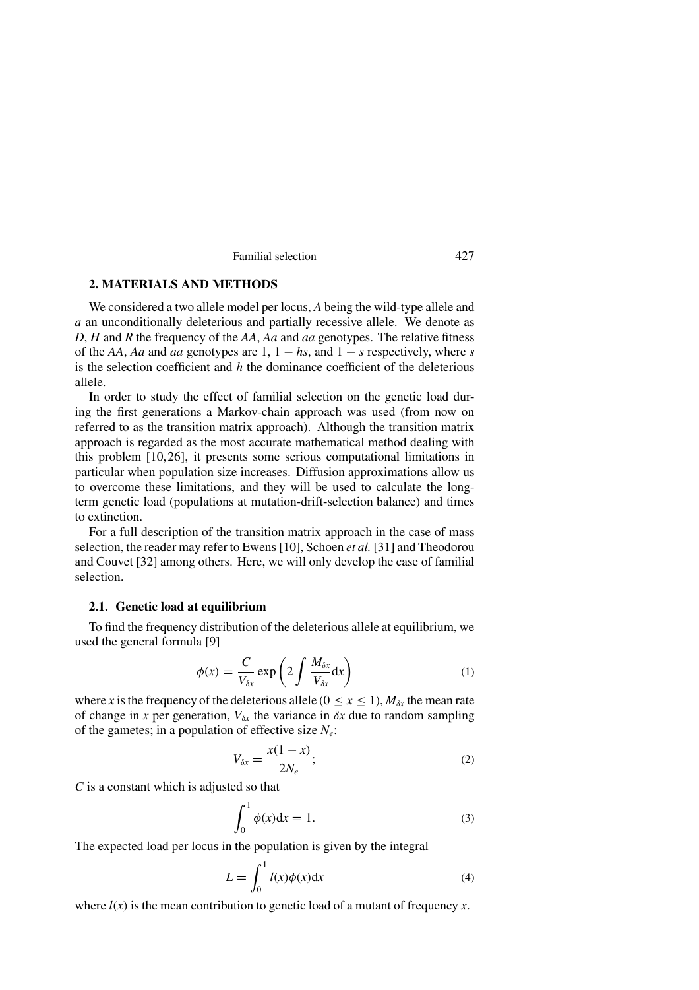## **2. MATERIALS AND METHODS**

We considered a two allele model per locus, *A* being the wild-type allele and *a* an unconditionally deleterious and partially recessive allele. We denote as *D*, *H* and *R* the frequency of the *AA*, *Aa* and *aa* genotypes. The relative fitness of the *AA*, *Aa* and *aa* genotypes are 1,  $1 - hs$ , and  $1 - s$  respectively, where *s* is the selection coefficient and *h* the dominance coefficient of the deleterious allele.

In order to study the effect of familial selection on the genetic load during the first generations a Markov-chain approach was used (from now on referred to as the transition matrix approach). Although the transition matrix approach is regarded as the most accurate mathematical method dealing with this problem [10,26], it presents some serious computational limitations in particular when population size increases. Diffusion approximations allow us to overcome these limitations, and they will be used to calculate the longterm genetic load (populations at mutation-drift-selection balance) and times to extinction.

For a full description of the transition matrix approach in the case of mass selection, the reader may refer to Ewens [10], Schoen *et al.* [31] and Theodorou and Couvet [32] among others. Here, we will only develop the case of familial selection.

#### **2.1. Genetic load at equilibrium**

To find the frequency distribution of the deleterious allele at equilibrium, we used the general formula [9]

$$
\phi(x) = \frac{C}{V_{\delta x}} \exp\left(2 \int \frac{M_{\delta x}}{V_{\delta x}} dx\right) \tag{1}
$$

where *x* is the frequency of the deleterious allele ( $0 \le x \le 1$ ),  $M_{\delta x}$  the mean rate of change in *x* per generation,  $V_{\delta x}$  the variance in  $\delta x$  due to random sampling of the gametes; in a population of effective size  $N_e$ :

$$
V_{\delta x} = \frac{x(1-x)}{2N_e};\tag{2}
$$

*C* is a constant which is adjusted so that

$$
\int_0^1 \phi(x) dx = 1.
$$
 (3)

The expected load per locus in the population is given by the integral

$$
L = \int_0^1 l(x)\phi(x)dx
$$
 (4)

where  $l(x)$  is the mean contribution to genetic load of a mutant of frequency *x*.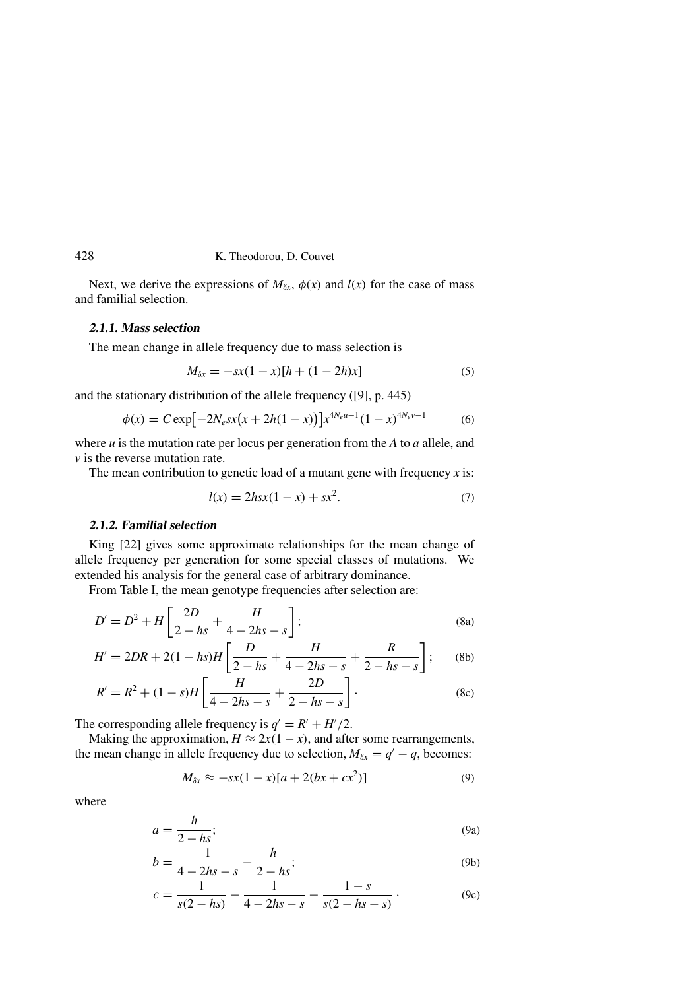Next, we derive the expressions of  $M_{\delta x}$ ,  $\phi(x)$  and  $l(x)$  for the case of mass and familial selection.

#### **2.1.1. Mass selection**

The mean change in allele frequency due to mass selection is

$$
M_{\delta x} = -sx(1-x)[h + (1-2h)x]
$$
 (5)

and the stationary distribution of the allele frequency ([9], p. 445)

$$
\phi(x) = C \exp[-2N_e s x (x + 2h(1 - x))] x^{4N_e u - 1} (1 - x)^{4N_e v - 1}
$$
(6)

where *u* is the mutation rate per locus per generation from the *A* to *a* allele, and *v* is the reverse mutation rate.

The mean contribution to genetic load of a mutant gene with frequency *x* is:

$$
l(x) = 2hsx(1 - x) + sx^2.
$$
 (7)

## **2.1.2. Familial selection**

King [22] gives some approximate relationships for the mean change of allele frequency per generation for some special classes of mutations. We extended his analysis for the general case of arbitrary dominance.

From Table I, the mean genotype frequencies after selection are:

$$
D' = D^2 + H \left[ \frac{2D}{2 - hs} + \frac{H}{4 - 2hs - s} \right];
$$
 (8a)

$$
H' = 2DR + 2(1 - hs)H\left[\frac{D}{2 - hs} + \frac{H}{4 - 2hs - s} + \frac{R}{2 - hs - s}\right];
$$
 (8b)

$$
R' = R2 + (1 - s)H \left[ \frac{H}{4 - 2hs - s} + \frac{2D}{2 - hs - s} \right].
$$
 (8c)

The corresponding allele frequency is  $q' = R' + H'/2$ .

Making the approximation,  $H \approx 2x(1-x)$ , and after some rearrangements, the mean change in allele frequency due to selection,  $M_{\delta x} = q' - q$ , becomes:

$$
M_{\delta x} \approx -sx(1-x)[a+2(bx+cx^2)]\tag{9}
$$

where

$$
a = \frac{h}{2 - hs};\tag{9a}
$$

$$
b = \frac{1}{4 - 2hs - s} - \frac{h}{2 - hs};
$$
\n(9b)

$$
c = \frac{1}{s(2 - hs)} - \frac{1}{4 - 2hs - s} - \frac{1 - s}{s(2 - hs - s)}.
$$
 (9c)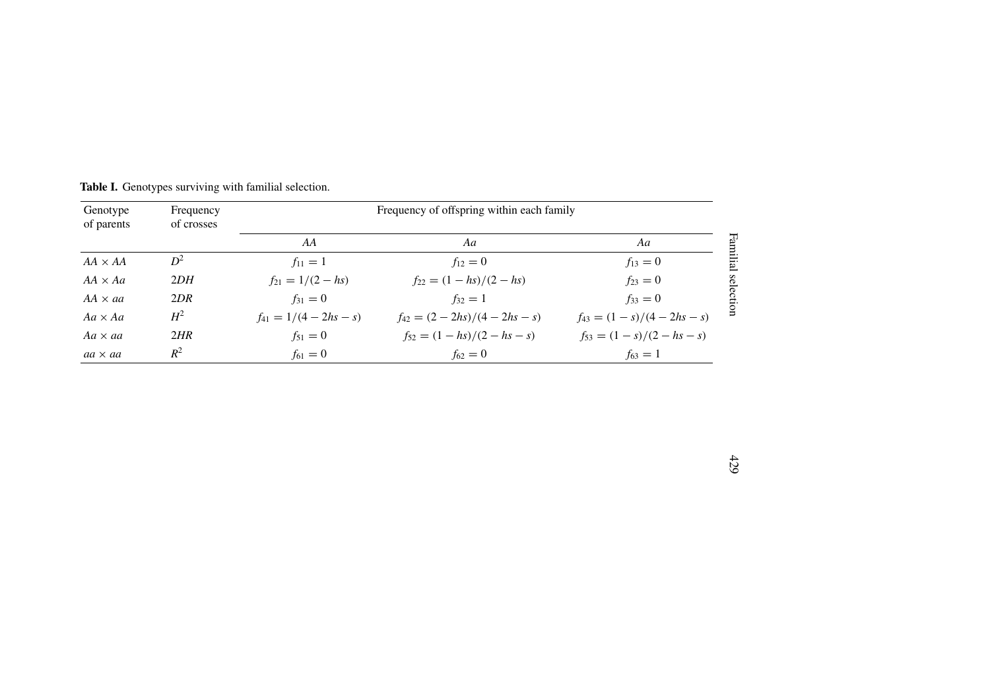| Genotype<br>of parents | Frequency<br>of crosses | Frequency of offspring within each family |                                    |                                  |  |
|------------------------|-------------------------|-------------------------------------------|------------------------------------|----------------------------------|--|
|                        |                         | AA                                        | Aa                                 | Aa                               |  |
| $AA \times AA$         | $D^2$                   | $f_{11} = 1$                              | $f_{12}=0$                         | $f_{13}=0$                       |  |
| $AA \times Aa$         | 2DH                     | $f_{21} = 1/(2 - hs)$                     | $f_{22} = (1 - hs)/(2 - hs)$       | $f_{23}=0$                       |  |
| $AA \times aa$         | 2DR                     | $f_{31}=0$                                | $f_{32} = 1$                       | $f_{33}=0$                       |  |
| $Aa \times Aa$         | $H^2$                   | $f_{41} = 1/(4 - 2hs - s)$                | $f_{42} = (2 - 2hs)/(4 - 2hs - s)$ | $f_{43} = (1 - s)/(4 - 2hs - s)$ |  |
| $Aa \times aa$         | 2HR                     | $f_{51} = 0$                              | $f_{52} = (1 - hs)/(2 - hs - s)$   | $f_{53} = (1 - s)/(2 - hs - s)$  |  |
| $aa \times aa$         | $R^2$                   | $f_{61} = 0$                              | $f_{62}=0$                         | $f_{63} = 1$                     |  |

| Table I. Genotypes surviving with familial selection. |  |  |
|-------------------------------------------------------|--|--|
|                                                       |  |  |

Familial selection

Familial selection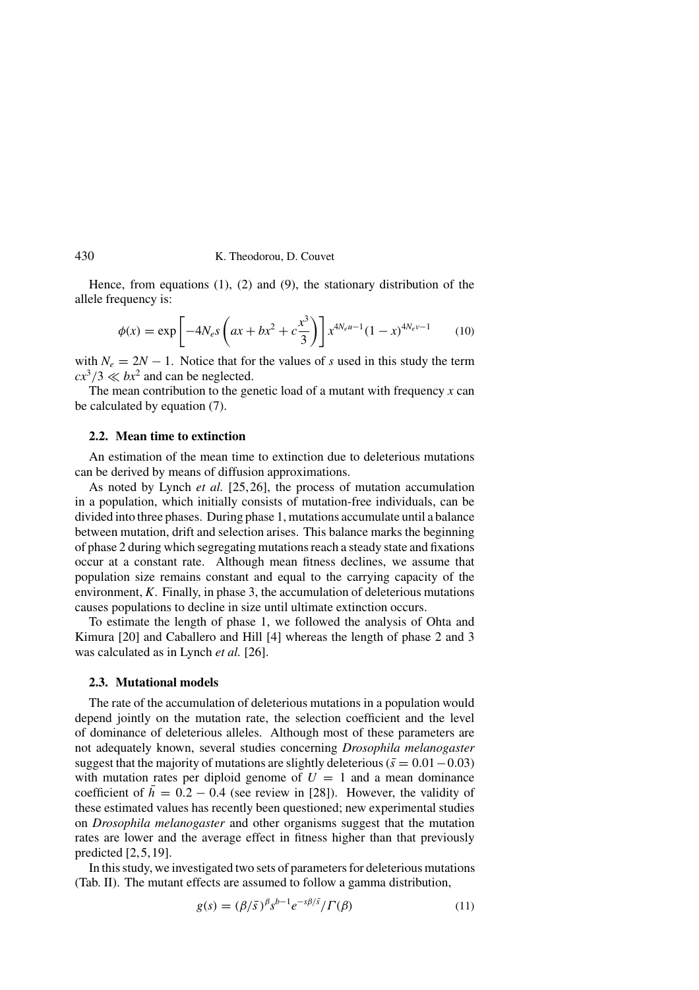Hence, from equations  $(1)$ ,  $(2)$  and  $(9)$ , the stationary distribution of the allele frequency is:

$$
\phi(x) = \exp\left[-4N_e s \left(ax + bx^2 + c\frac{x^3}{3}\right)\right] x^{4N_e u - 1} (1 - x)^{4N_e v - 1}
$$
(10)

with  $N_e = 2N - 1$ . Notice that for the values of *s* used in this study the term  $cx^3/3 \ll bx^2$  and can be neglected.

The mean contribution to the genetic load of a mutant with frequency *x* can be calculated by equation (7).

## **2.2. Mean time to extinction**

An estimation of the mean time to extinction due to deleterious mutations can be derived by means of diffusion approximations.

As noted by Lynch *et al.* [25,26], the process of mutation accumulation in a population, which initially consists of mutation-free individuals, can be divided into three phases. During phase 1, mutations accumulate until a balance between mutation, drift and selection arises. This balance marks the beginning of phase 2 during which segregating mutations reach a steady state and fixations occur at a constant rate. Although mean fitness declines, we assume that population size remains constant and equal to the carrying capacity of the environment, *K*. Finally, in phase 3, the accumulation of deleterious mutations causes populations to decline in size until ultimate extinction occurs.

To estimate the length of phase 1, we followed the analysis of Ohta and Kimura [20] and Caballero and Hill [4] whereas the length of phase 2 and 3 was calculated as in Lynch *et al.* [26].

## **2.3. Mutational models**

The rate of the accumulation of deleterious mutations in a population would depend jointly on the mutation rate, the selection coefficient and the level of dominance of deleterious alleles. Although most of these parameters are not adequately known, several studies concerning *Drosophila melanogaster* suggest that the majority of mutations are slightly deleterious ( $\bar{s} = 0.01 - 0.03$ ) with mutation rates per diploid genome of  $U = 1$  and a mean dominance coefficient of  $h = 0.2 - 0.4$  (see review in [28]). However, the validity of these estimated values has recently been questioned; new experimental studies on *Drosophila melanogaster* and other organisms suggest that the mutation rates are lower and the average effect in fitness higher than that previously predicted [2,5,19].

In this study, we investigated two sets of parameters for deleterious mutations (Tab. II). The mutant effects are assumed to follow a gamma distribution,

$$
g(s) = (\beta/\bar{s})^{\beta} s^{b-1} e^{-s\beta/\bar{s}} / \Gamma(\beta)
$$
\n(11)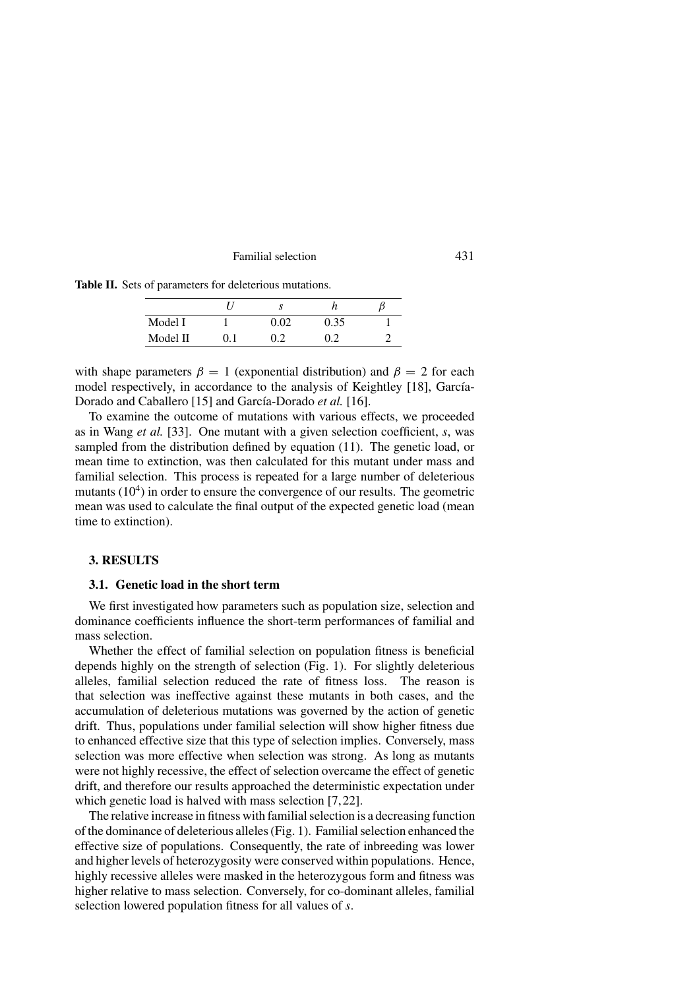| Model I  | 0.02          | 0.35 |  |
|----------|---------------|------|--|
| Model II | $9.2^{\circ}$ | 0.2  |  |

**Table II.** Sets of parameters for deleterious mutations.

with shape parameters  $\beta = 1$  (exponential distribution) and  $\beta = 2$  for each model respectively, in accordance to the analysis of Keightley [18], García-Dorado and Caballero [15] and García-Dorado *et al.* [16].

To examine the outcome of mutations with various effects, we proceeded as in Wang *et al.* [33]. One mutant with a given selection coefficient, *s*, was sampled from the distribution defined by equation (11). The genetic load, or mean time to extinction, was then calculated for this mutant under mass and familial selection. This process is repeated for a large number of deleterious mutants  $(10<sup>4</sup>)$  in order to ensure the convergence of our results. The geometric mean was used to calculate the final output of the expected genetic load (mean time to extinction).

#### **3. RESULTS**

## **3.1. Genetic load in the short term**

We first investigated how parameters such as population size, selection and dominance coefficients influence the short-term performances of familial and mass selection.

Whether the effect of familial selection on population fitness is beneficial depends highly on the strength of selection (Fig. 1). For slightly deleterious alleles, familial selection reduced the rate of fitness loss. The reason is that selection was ineffective against these mutants in both cases, and the accumulation of deleterious mutations was governed by the action of genetic drift. Thus, populations under familial selection will show higher fitness due to enhanced effective size that this type of selection implies. Conversely, mass selection was more effective when selection was strong. As long as mutants were not highly recessive, the effect of selection overcame the effect of genetic drift, and therefore our results approached the deterministic expectation under which genetic load is halved with mass selection [7,22].

The relative increase in fitness with familial selection is a decreasing function of the dominance of deleterious alleles (Fig. 1). Familial selection enhanced the effective size of populations. Consequently, the rate of inbreeding was lower and higher levels of heterozygosity were conserved within populations. Hence, highly recessive alleles were masked in the heterozygous form and fitness was higher relative to mass selection. Conversely, for co-dominant alleles, familial selection lowered population fitness for all values of *s*.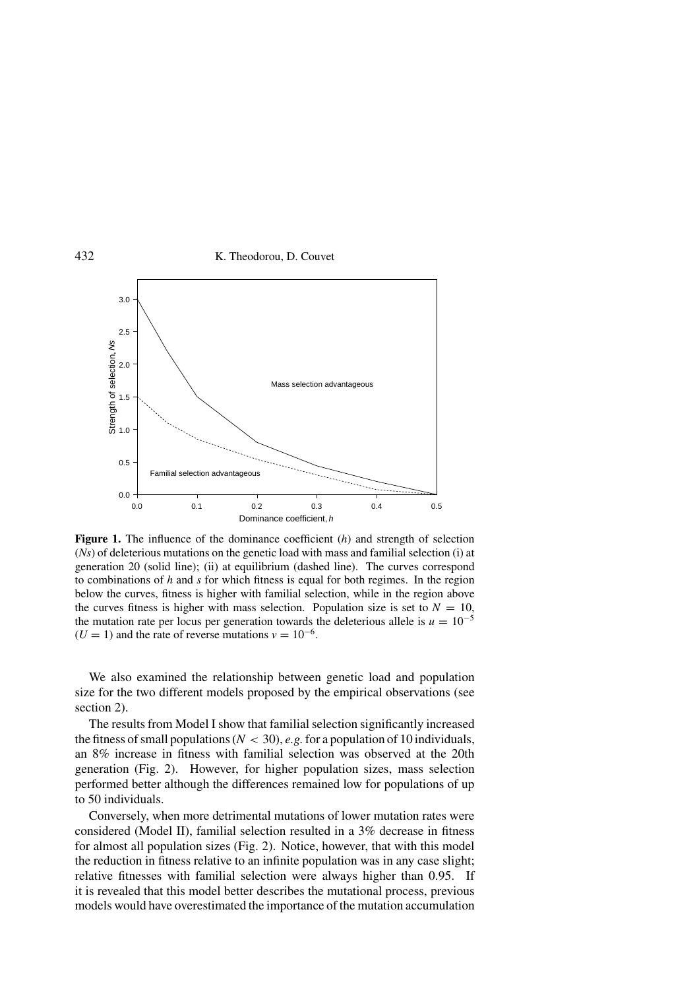

**Figure 1.** The influence of the dominance coefficient (*h*) and strength of selection (*Ns*) of deleterious mutations on the genetic load with mass and familial selection (i) at generation 20 (solid line); (ii) at equilibrium (dashed line). The curves correspond to combinations of *h* and *s* for which fitness is equal for both regimes. In the region below the curves, fitness is higher with familial selection, while in the region above the curves fitness is higher with mass selection. Population size is set to  $N = 10$ , the mutation rate per locus per generation towards the deleterious allele is  $u = 10^{-5}$  $(U = 1)$  and the rate of reverse mutations  $v = 10^{-6}$ .

We also examined the relationship between genetic load and population size for the two different models proposed by the empirical observations (see section 2).

The results from Model I show that familial selection significantly increased the fitness of small populations  $(N < 30)$ , *e.g.* for a population of 10 individuals, an 8% increase in fitness with familial selection was observed at the 20th generation (Fig. 2). However, for higher population sizes, mass selection performed better although the differences remained low for populations of up to 50 individuals.

Conversely, when more detrimental mutations of lower mutation rates were considered (Model II), familial selection resulted in a 3% decrease in fitness for almost all population sizes (Fig. 2). Notice, however, that with this model the reduction in fitness relative to an infinite population was in any case slight; relative fitnesses with familial selection were always higher than 0.95. If it is revealed that this model better describes the mutational process, previous models would have overestimated the importance of the mutation accumulation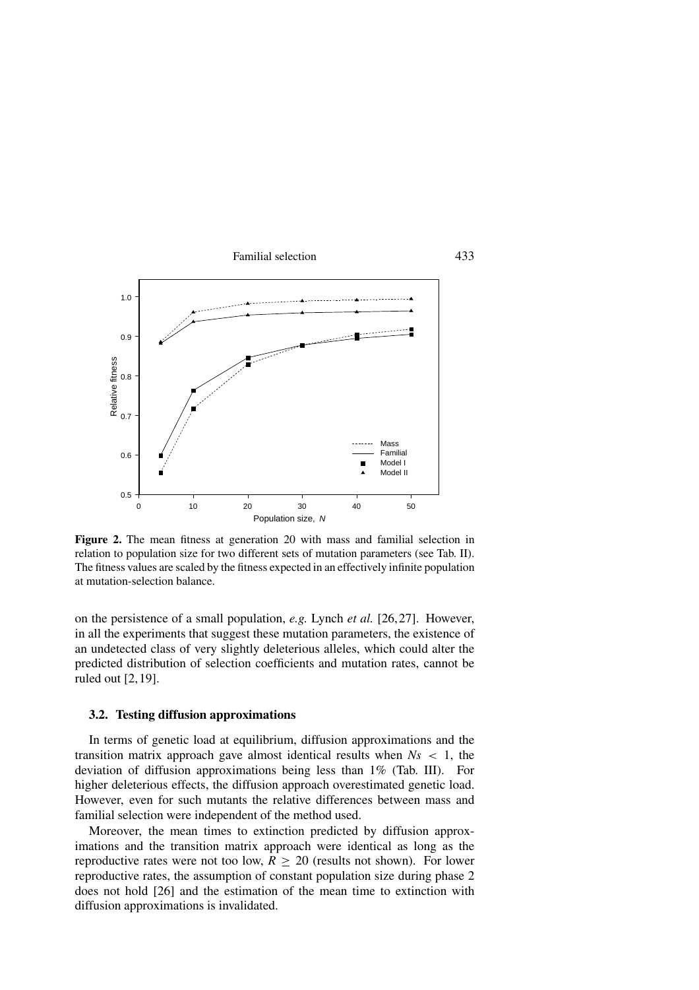

**Figure 2.** The mean fitness at generation 20 with mass and familial selection in relation to population size for two different sets of mutation parameters (see Tab. II). The fitness values are scaled by the fitness expected in an effectively infinite population at mutation-selection balance.

on the persistence of a small population, *e.g.* Lynch *et al.* [26,27]. However, in all the experiments that suggest these mutation parameters, the existence of an undetected class of very slightly deleterious alleles, which could alter the predicted distribution of selection coefficients and mutation rates, cannot be ruled out [2,19].

## **3.2. Testing diffusion approximations**

In terms of genetic load at equilibrium, diffusion approximations and the transition matrix approach gave almost identical results when  $N_s < 1$ , the deviation of diffusion approximations being less than 1% (Tab. III). For higher deleterious effects, the diffusion approach overestimated genetic load. However, even for such mutants the relative differences between mass and familial selection were independent of the method used.

Moreover, the mean times to extinction predicted by diffusion approximations and the transition matrix approach were identical as long as the reproductive rates were not too low,  $R > 20$  (results not shown). For lower reproductive rates, the assumption of constant population size during phase 2 does not hold [26] and the estimation of the mean time to extinction with diffusion approximations is invalidated.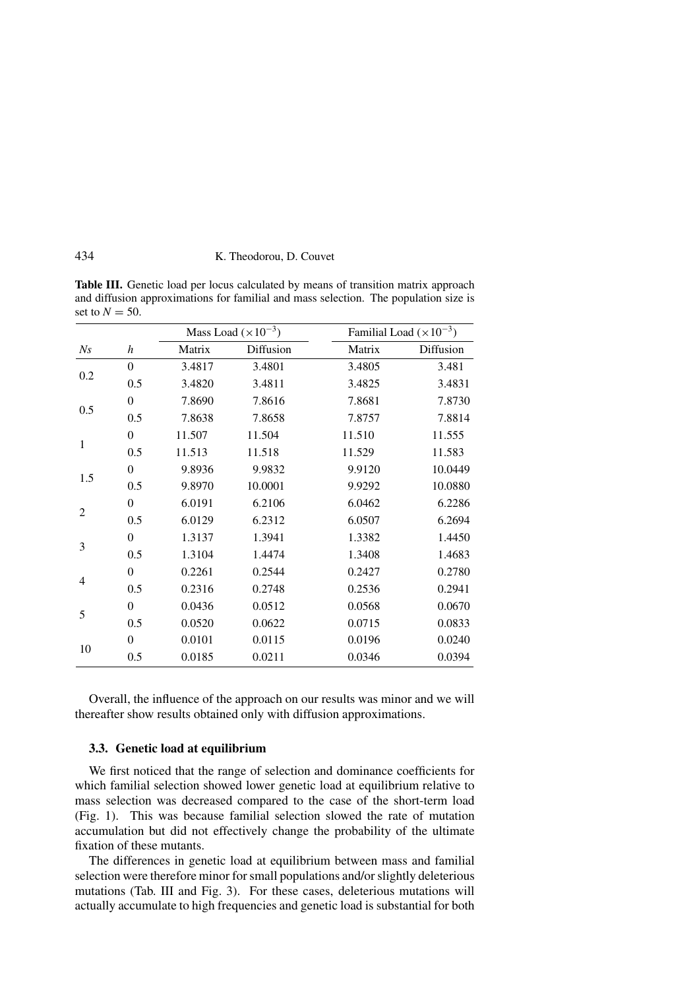**Table III.** Genetic load per locus calculated by means of transition matrix approach and diffusion approximations for familial and mass selection. The population size is set to  $N = 50$ .

|                |                | Mass Load $(\times 10^{-3})$ |           |        | Familial Load $(\times 10^{-3})$ |  |
|----------------|----------------|------------------------------|-----------|--------|----------------------------------|--|
| N <sub>S</sub> | h              | Matrix                       | Diffusion | Matrix | Diffusion                        |  |
| 0.2            | 0              | 3.4817                       | 3.4801    | 3.4805 | 3.481                            |  |
|                | 0.5            | 3.4820                       | 3.4811    | 3.4825 | 3.4831                           |  |
| 0.5            | $\overline{0}$ | 7.8690                       | 7.8616    | 7.8681 | 7.8730                           |  |
|                | 0.5            | 7.8638                       | 7.8658    | 7.8757 | 7.8814                           |  |
| $\,1\,$        | $\overline{0}$ | 11.507                       | 11.504    | 11.510 | 11.555                           |  |
|                | 0.5            | 11.513                       | 11.518    | 11.529 | 11.583                           |  |
| 1.5            | $\overline{0}$ | 9.8936                       | 9.9832    | 9.9120 | 10.0449                          |  |
|                | 0.5            | 9.8970                       | 10.0001   | 9.9292 | 10.0880                          |  |
| $\overline{2}$ | $\overline{0}$ | 6.0191                       | 6.2106    | 6.0462 | 6.2286                           |  |
|                | 0.5            | 6.0129                       | 6.2312    | 6.0507 | 6.2694                           |  |
| 3              | $\overline{0}$ | 1.3137                       | 1.3941    | 1.3382 | 1.4450                           |  |
|                | 0.5            | 1.3104                       | 1.4474    | 1.3408 | 1.4683                           |  |
| $\overline{4}$ | $\overline{0}$ | 0.2261                       | 0.2544    | 0.2427 | 0.2780                           |  |
|                | 0.5            | 0.2316                       | 0.2748    | 0.2536 | 0.2941                           |  |
| 5              | $\overline{0}$ | 0.0436                       | 0.0512    | 0.0568 | 0.0670                           |  |
|                | 0.5            | 0.0520                       | 0.0622    | 0.0715 | 0.0833                           |  |
| 10             | $\overline{0}$ | 0.0101                       | 0.0115    | 0.0196 | 0.0240                           |  |
|                | 0.5            | 0.0185                       | 0.0211    | 0.0346 | 0.0394                           |  |

Overall, the influence of the approach on our results was minor and we will thereafter show results obtained only with diffusion approximations.

#### **3.3. Genetic load at equilibrium**

We first noticed that the range of selection and dominance coefficients for which familial selection showed lower genetic load at equilibrium relative to mass selection was decreased compared to the case of the short-term load (Fig. 1). This was because familial selection slowed the rate of mutation accumulation but did not effectively change the probability of the ultimate fixation of these mutants.

The differences in genetic load at equilibrium between mass and familial selection were therefore minor for small populations and/or slightly deleterious mutations (Tab. III and Fig. 3). For these cases, deleterious mutations will actually accumulate to high frequencies and genetic load is substantial for both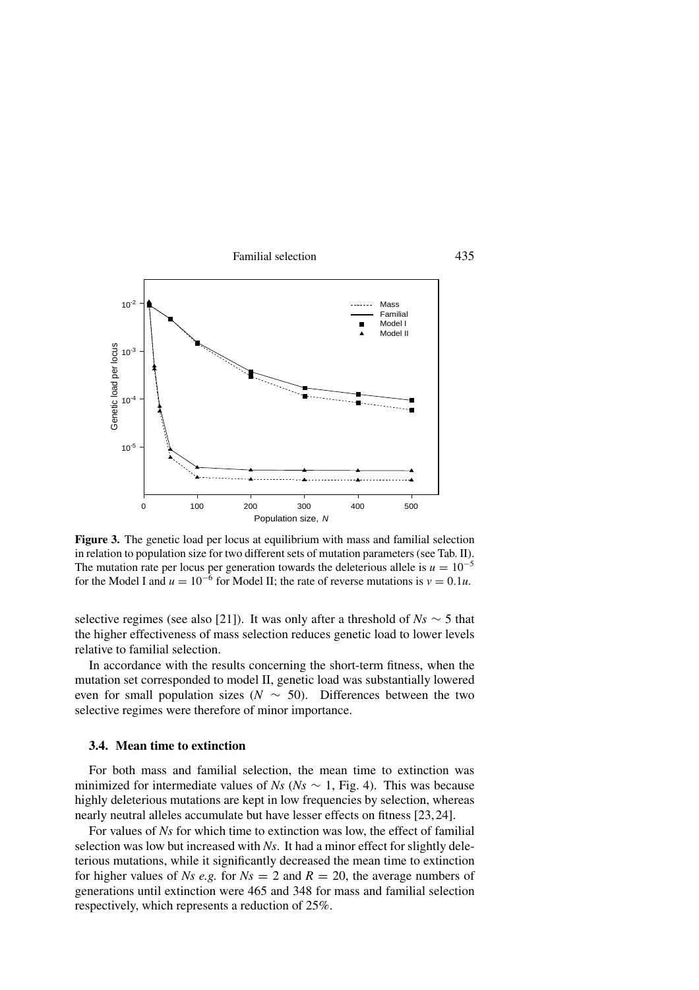

**Figure 3.** The genetic load per locus at equilibrium with mass and familial selection in relation to population size for two different sets of mutation parameters (see Tab. II). The mutation rate per locus per generation towards the deleterious allele is  $u = 10^{-5}$ for the Model I and  $u = 10^{-6}$  for Model II; the rate of reverse mutations is  $v = 0.1u$ .

selective regimes (see also [21]). It was only after a threshold of  $N_s \sim 5$  that the higher effectiveness of mass selection reduces genetic load to lower levels relative to familial selection.

In accordance with the results concerning the short-term fitness, when the mutation set corresponded to model II, genetic load was substantially lowered even for small population sizes ( $N \sim 50$ ). Differences between the two selective regimes were therefore of minor importance.

## **3.4. Mean time to extinction**

For both mass and familial selection, the mean time to extinction was minimized for intermediate values of  $Ns$  ( $Ns \sim 1$ , Fig. 4). This was because highly deleterious mutations are kept in low frequencies by selection, whereas nearly neutral alleles accumulate but have lesser effects on fitness [23,24].

For values of *Ns* for which time to extinction was low, the effect of familial selection was low but increased with *Ns*. It had a minor effect for slightly deleterious mutations, while it significantly decreased the mean time to extinction for higher values of *Ns e.g.* for  $N_s = 2$  and  $R = 20$ , the average numbers of generations until extinction were 465 and 348 for mass and familial selection respectively, which represents a reduction of 25%.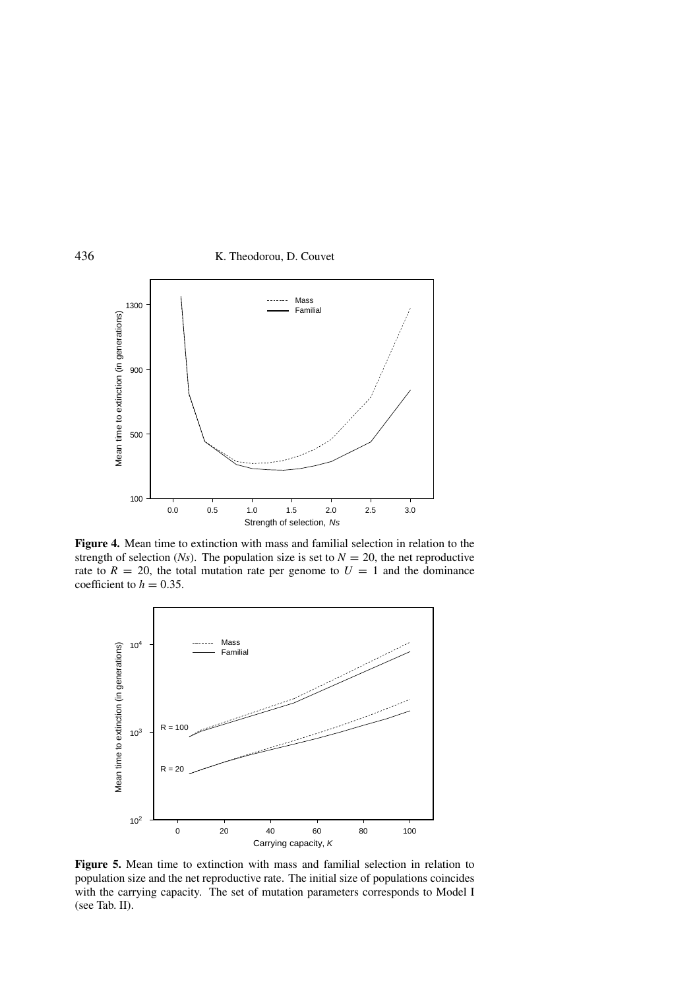

**Figure 4.** Mean time to extinction with mass and familial selection in relation to the strength of selection (*Ns*). The population size is set to  $N = 20$ , the net reproductive rate to  $R = 20$ , the total mutation rate per genome to  $U = 1$  and the dominance coefficient to  $h = 0.35$ .



**Figure 5.** Mean time to extinction with mass and familial selection in relation to population size and the net reproductive rate. The initial size of populations coincides with the carrying capacity. The set of mutation parameters corresponds to Model I (see Tab. II).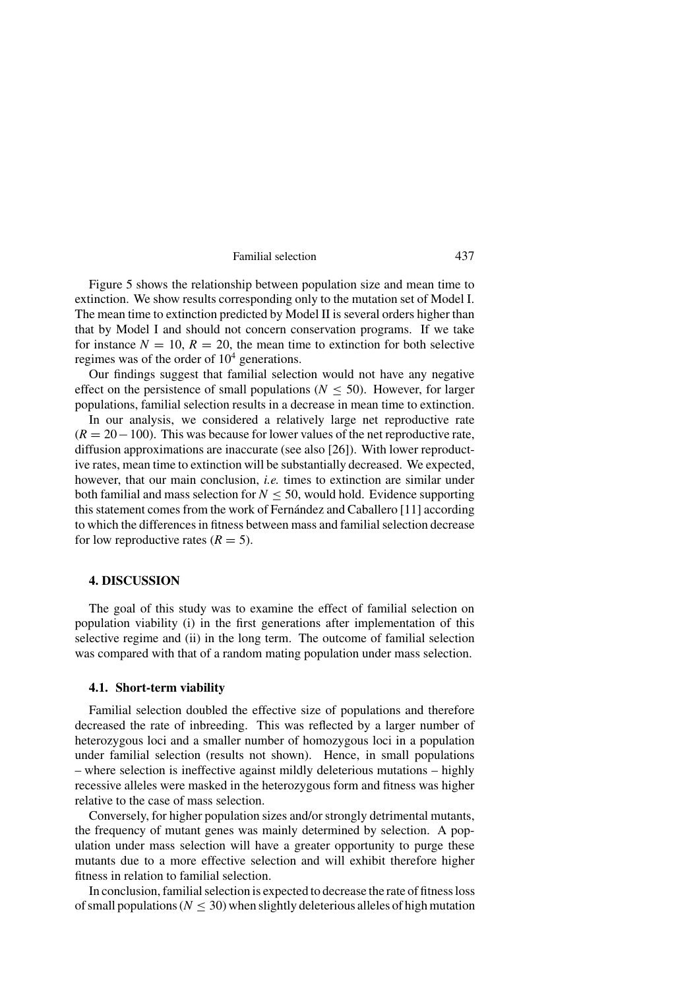Figure 5 shows the relationship between population size and mean time to extinction. We show results corresponding only to the mutation set of Model I. The mean time to extinction predicted by Model II is several orders higher than that by Model I and should not concern conservation programs. If we take for instance  $N = 10$ ,  $R = 20$ , the mean time to extinction for both selective regimes was of the order of  $10^4$  generations.

Our findings suggest that familial selection would not have any negative effect on the persistence of small populations ( $N \leq 50$ ). However, for larger populations, familial selection results in a decrease in mean time to extinction.

In our analysis, we considered a relatively large net reproductive rate  $(R = 20 - 100)$ . This was because for lower values of the net reproductive rate, diffusion approximations are inaccurate (see also [26]). With lower reproductive rates, mean time to extinction will be substantially decreased. We expected, however, that our main conclusion, *i.e.* times to extinction are similar under both familial and mass selection for  $N \leq 50$ , would hold. Evidence supporting this statement comes from the work of Fernández and Caballero [11] according to which the differences in fitness between mass and familial selection decrease for low reproductive rates  $(R = 5)$ .

#### **4. DISCUSSION**

The goal of this study was to examine the effect of familial selection on population viability (i) in the first generations after implementation of this selective regime and (ii) in the long term. The outcome of familial selection was compared with that of a random mating population under mass selection.

#### **4.1. Short-term viability**

Familial selection doubled the effective size of populations and therefore decreased the rate of inbreeding. This was reflected by a larger number of heterozygous loci and a smaller number of homozygous loci in a population under familial selection (results not shown). Hence, in small populations – where selection is ineffective against mildly deleterious mutations – highly recessive alleles were masked in the heterozygous form and fitness was higher relative to the case of mass selection.

Conversely, for higher population sizes and/or strongly detrimental mutants, the frequency of mutant genes was mainly determined by selection. A population under mass selection will have a greater opportunity to purge these mutants due to a more effective selection and will exhibit therefore higher fitness in relation to familial selection.

In conclusion, familial selection is expected to decrease the rate of fitness loss of small populations ( $N \leq 30$ ) when slightly deleterious alleles of high mutation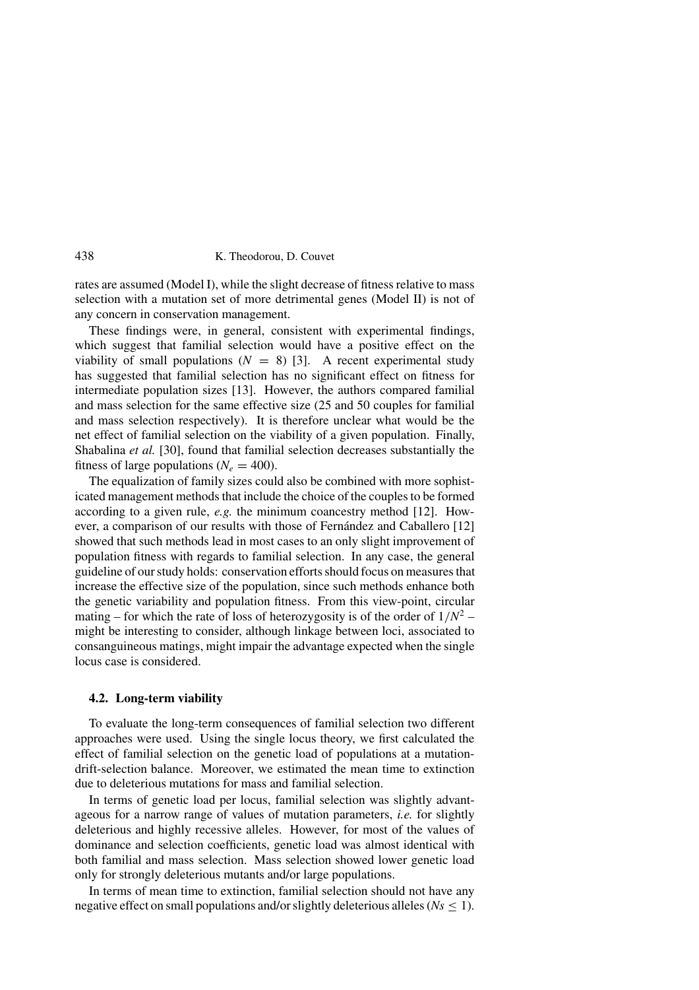rates are assumed (Model I), while the slight decrease of fitness relative to mass selection with a mutation set of more detrimental genes (Model II) is not of any concern in conservation management.

These findings were, in general, consistent with experimental findings, which suggest that familial selection would have a positive effect on the viability of small populations  $(N = 8)$  [3]. A recent experimental study has suggested that familial selection has no significant effect on fitness for intermediate population sizes [13]. However, the authors compared familial and mass selection for the same effective size (25 and 50 couples for familial and mass selection respectively). It is therefore unclear what would be the net effect of familial selection on the viability of a given population. Finally, Shabalina *et al.* [30], found that familial selection decreases substantially the fitness of large populations  $(N_e = 400)$ .

The equalization of family sizes could also be combined with more sophisticated management methods that include the choice of the couples to be formed according to a given rule, *e.g.* the minimum coancestry method [12]. However, a comparison of our results with those of Fernández and Caballero [12] showed that such methods lead in most cases to an only slight improvement of population fitness with regards to familial selection. In any case, the general guideline of our study holds: conservation efforts should focus on measures that increase the effective size of the population, since such methods enhance both the genetic variability and population fitness. From this view-point, circular mating – for which the rate of loss of heterozygosity is of the order of  $1/N^2$  – might be interesting to consider, although linkage between loci, associated to consanguineous matings, might impair the advantage expected when the single locus case is considered.

#### **4.2. Long-term viability**

To evaluate the long-term consequences of familial selection two different approaches were used. Using the single locus theory, we first calculated the effect of familial selection on the genetic load of populations at a mutationdrift-selection balance. Moreover, we estimated the mean time to extinction due to deleterious mutations for mass and familial selection.

In terms of genetic load per locus, familial selection was slightly advantageous for a narrow range of values of mutation parameters, *i.e.* for slightly deleterious and highly recessive alleles. However, for most of the values of dominance and selection coefficients, genetic load was almost identical with both familial and mass selection. Mass selection showed lower genetic load only for strongly deleterious mutants and/or large populations.

In terms of mean time to extinction, familial selection should not have any negative effect on small populations and/or slightly deleterious alleles (*Ns* ≤ 1).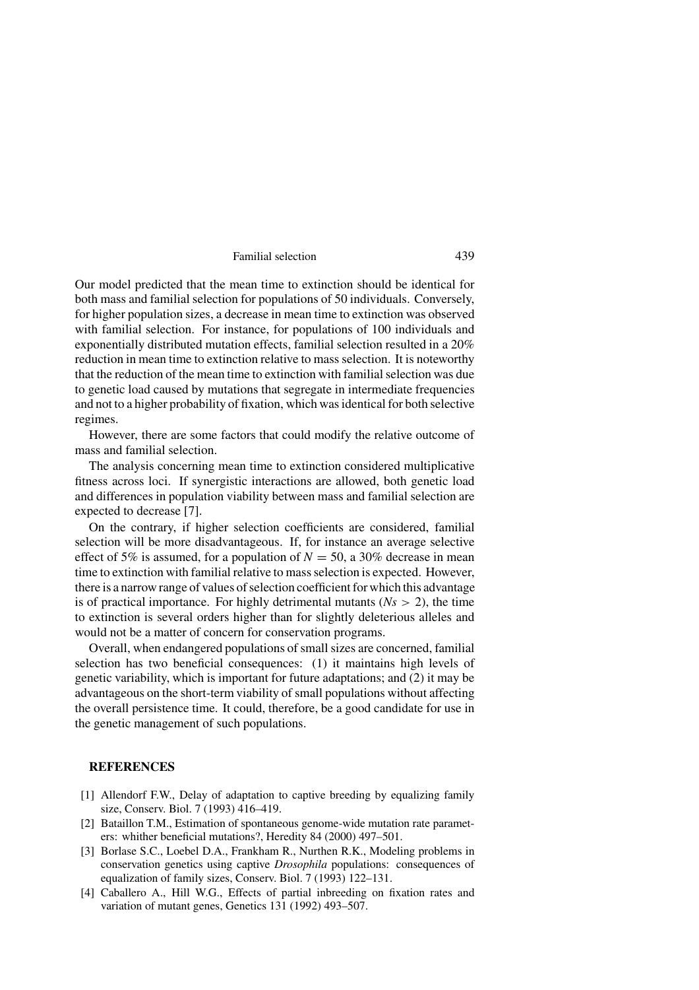Our model predicted that the mean time to extinction should be identical for both mass and familial selection for populations of 50 individuals. Conversely, for higher population sizes, a decrease in mean time to extinction was observed with familial selection. For instance, for populations of 100 individuals and exponentially distributed mutation effects, familial selection resulted in a 20% reduction in mean time to extinction relative to mass selection. It is noteworthy that the reduction of the mean time to extinction with familial selection was due to genetic load caused by mutations that segregate in intermediate frequencies and not to a higher probability of fixation, which was identical for both selective regimes.

However, there are some factors that could modify the relative outcome of mass and familial selection.

The analysis concerning mean time to extinction considered multiplicative fitness across loci. If synergistic interactions are allowed, both genetic load and differences in population viability between mass and familial selection are expected to decrease [7].

On the contrary, if higher selection coefficients are considered, familial selection will be more disadvantageous. If, for instance an average selective effect of 5% is assumed, for a population of  $N = 50$ , a 30% decrease in mean time to extinction with familial relative to mass selection is expected. However, there is a narrow range of values of selection coefficient for which this advantage is of practical importance. For highly detrimental mutants ( $N_s$  > 2), the time to extinction is several orders higher than for slightly deleterious alleles and would not be a matter of concern for conservation programs.

Overall, when endangered populations of small sizes are concerned, familial selection has two beneficial consequences: (1) it maintains high levels of genetic variability, which is important for future adaptations; and (2) it may be advantageous on the short-term viability of small populations without affecting the overall persistence time. It could, therefore, be a good candidate for use in the genetic management of such populations.

#### **REFERENCES**

- [1] Allendorf F.W., Delay of adaptation to captive breeding by equalizing family size, Conserv. Biol. 7 (1993) 416–419.
- [2] Bataillon T.M., Estimation of spontaneous genome-wide mutation rate parameters: whither beneficial mutations?, Heredity 84 (2000) 497–501.
- [3] Borlase S.C., Loebel D.A., Frankham R., Nurthen R.K., Modeling problems in conservation genetics using captive *Drosophila* populations: consequences of equalization of family sizes, Conserv. Biol. 7 (1993) 122–131.
- [4] Caballero A., Hill W.G., Effects of partial inbreeding on fixation rates and variation of mutant genes, Genetics 131 (1992) 493–507.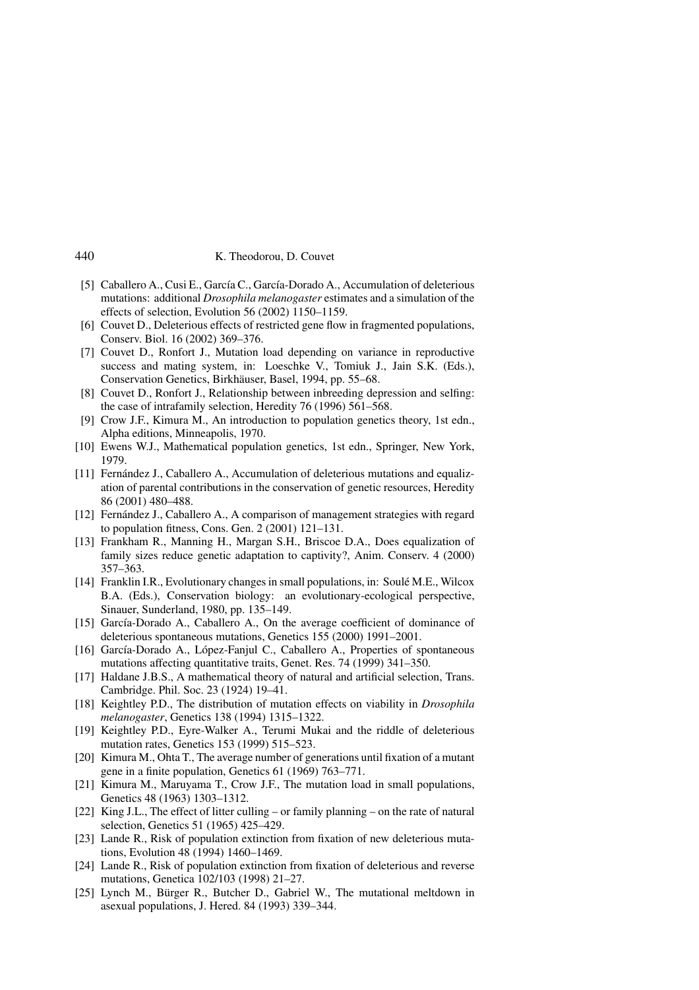- [5] Caballero A., Cusi E., García C., García-Dorado A., Accumulation of deleterious mutations: additional *Drosophila melanogaster* estimates and a simulation of the effects of selection, Evolution 56 (2002) 1150–1159.
- [6] Couvet D., Deleterious effects of restricted gene flow in fragmented populations, Conserv. Biol. 16 (2002) 369–376.
- [7] Couvet D., Ronfort J., Mutation load depending on variance in reproductive success and mating system, in: Loeschke V., Tomiuk J., Jain S.K. (Eds.), Conservation Genetics, Birkhäuser, Basel, 1994, pp. 55–68.
- [8] Couvet D., Ronfort J., Relationship between inbreeding depression and selfing: the case of intrafamily selection, Heredity 76 (1996) 561–568.
- [9] Crow J.F., Kimura M., An introduction to population genetics theory, 1st edn., Alpha editions, Minneapolis, 1970.
- [10] Ewens W.J., Mathematical population genetics, 1st edn., Springer, New York, 1979.
- [11] Fernández J., Caballero A., Accumulation of deleterious mutations and equalization of parental contributions in the conservation of genetic resources, Heredity 86 (2001) 480–488.
- [12] Fernández J., Caballero A., A comparison of management strategies with regard to population fitness, Cons. Gen. 2 (2001) 121–131.
- [13] Frankham R., Manning H., Margan S.H., Briscoe D.A., Does equalization of family sizes reduce genetic adaptation to captivity?, Anim. Conserv. 4 (2000) 357–363.
- [14] Franklin I.R., Evolutionary changes in small populations, in: Soulé M.E., Wilcox B.A. (Eds.), Conservation biology: an evolutionary-ecological perspective, Sinauer, Sunderland, 1980, pp. 135–149.
- [15] García-Dorado A., Caballero A., On the average coefficient of dominance of deleterious spontaneous mutations, Genetics 155 (2000) 1991–2001.
- [16] García-Dorado A., López-Fanjul C., Caballero A., Properties of spontaneous mutations affecting quantitative traits, Genet. Res. 74 (1999) 341–350.
- [17] Haldane J.B.S., A mathematical theory of natural and artificial selection, Trans. Cambridge. Phil. Soc. 23 (1924) 19–41.
- [18] Keightley P.D., The distribution of mutation effects on viability in *Drosophila melanogaster*, Genetics 138 (1994) 1315–1322.
- [19] Keightley P.D., Eyre-Walker A., Terumi Mukai and the riddle of deleterious mutation rates, Genetics 153 (1999) 515–523.
- [20] Kimura M., Ohta T., The average number of generations until fixation of a mutant gene in a finite population, Genetics 61 (1969) 763–771.
- [21] Kimura M., Maruyama T., Crow J.F., The mutation load in small populations, Genetics 48 (1963) 1303–1312.
- [22] King J.L., The effect of litter culling or family planning on the rate of natural selection, Genetics 51 (1965) 425–429.
- [23] Lande R., Risk of population extinction from fixation of new deleterious mutations, Evolution 48 (1994) 1460–1469.
- [24] Lande R., Risk of population extinction from fixation of deleterious and reverse mutations, Genetica 102/103 (1998) 21–27.
- [25] Lynch M., Bürger R., Butcher D., Gabriel W., The mutational meltdown in asexual populations, J. Hered. 84 (1993) 339–344.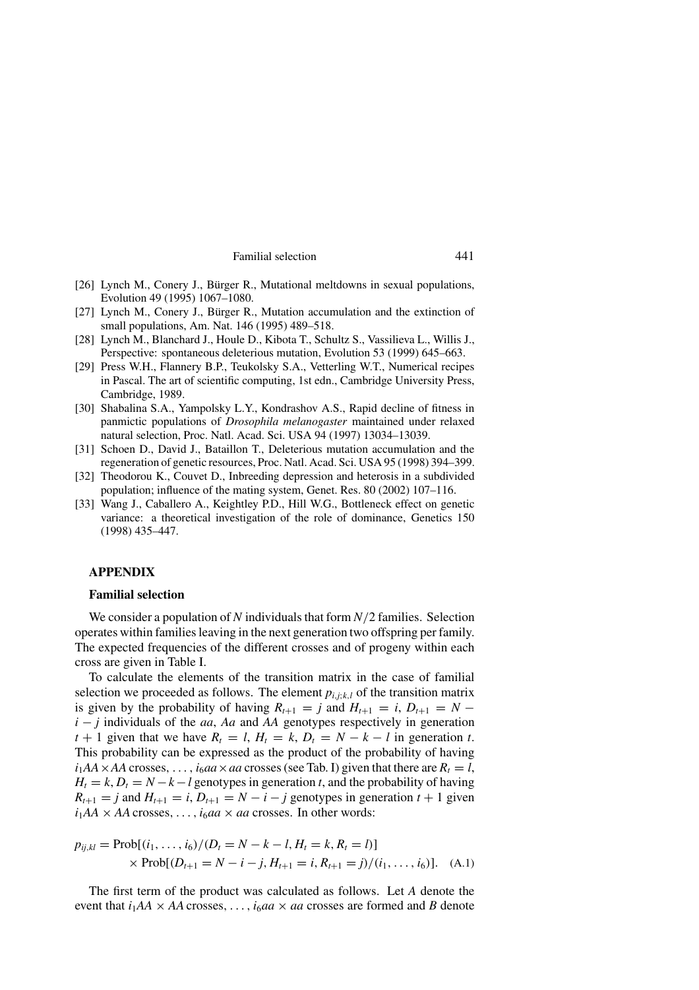- [26] Lynch M., Conery J., Bürger R., Mutational meltdowns in sexual populations, Evolution 49 (1995) 1067–1080.
- [27] Lynch M., Conery J., Bürger R., Mutation accumulation and the extinction of small populations, Am. Nat. 146 (1995) 489–518.
- [28] Lynch M., Blanchard J., Houle D., Kibota T., Schultz S., Vassilieva L., Willis J., Perspective: spontaneous deleterious mutation, Evolution 53 (1999) 645–663.
- [29] Press W.H., Flannery B.P., Teukolsky S.A., Vetterling W.T., Numerical recipes in Pascal. The art of scientific computing, 1st edn., Cambridge University Press, Cambridge, 1989.
- [30] Shabalina S.A., Yampolsky L.Y., Kondrashov A.S., Rapid decline of fitness in panmictic populations of *Drosophila melanogaster* maintained under relaxed natural selection, Proc. Natl. Acad. Sci. USA 94 (1997) 13034–13039.
- [31] Schoen D., David J., Bataillon T., Deleterious mutation accumulation and the regeneration of genetic resources, Proc. Natl. Acad. Sci. USA 95 (1998) 394–399.
- [32] Theodorou K., Couvet D., Inbreeding depression and heterosis in a subdivided population; influence of the mating system, Genet. Res. 80 (2002) 107–116.
- [33] Wang J., Caballero A., Keightley P.D., Hill W.G., Bottleneck effect on genetic variance: a theoretical investigation of the role of dominance, Genetics 150 (1998) 435–447.

#### **APPENDIX**

## **Familial selection**

We consider a population of *N* individuals that form *N/*2 families. Selection operates within families leaving in the next generation two offspring per family. The expected frequencies of the different crosses and of progeny within each cross are given in Table I.

To calculate the elements of the transition matrix in the case of familial selection we proceeded as follows. The element  $p_{i,i;k,l}$  of the transition matrix is given by the probability of having  $R_{t+1} = j$  and  $H_{t+1} = i$ ,  $D_{t+1} = N - j$ *i* − *j* individuals of the *aa*, *Aa* and *AA* genotypes respectively in generation  $t + 1$  given that we have  $R_t = l$ ,  $H_t = k$ ,  $D_t = N - k - l$  in generation *t*. This probability can be expressed as the product of the probability of having  $i_1AA \times AA$  crosses, ...,  $i_6aa \times aa$  crosses (see Tab. I) given that there are  $R_t = l$ ,  $H_t = k$ ,  $D_t = N - k - l$  genotypes in generation *t*, and the probability of having  $R_{t+1} = j$  and  $H_{t+1} = i$ ,  $D_{t+1} = N - i - j$  genotypes in generation  $t + 1$  given  $i_1AA \times AA$  crosses, ...,  $i_6aa \times aa$  crosses. In other words:

$$
p_{ij,kl} = \text{Prob}[(i_1, \dots, i_6)/(D_t = N - k - l, H_t = k, R_t = l)]
$$
  
× Prob[(D\_{t+1} = N - i - j, H\_{t+1} = i, R\_{t+1} = j)/(i\_1, \dots, i\_6)]. (A.1)

The first term of the product was calculated as follows. Let *A* denote the event that  $i_1AA \times AA$  crosses, ...,  $i_6aa \times aa$  crosses are formed and *B* denote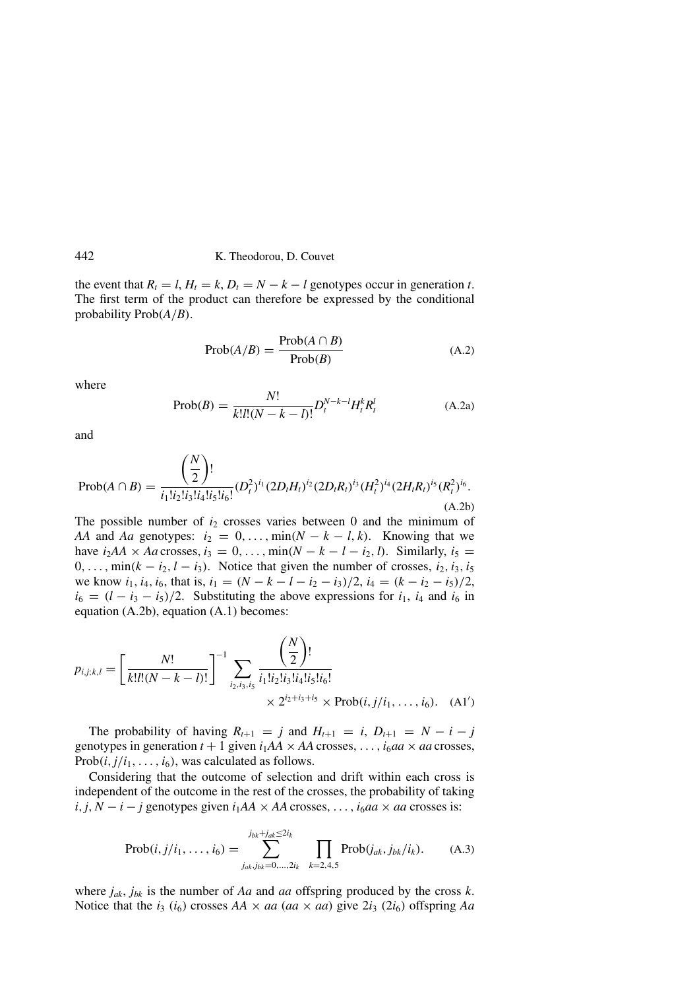the event that  $R_t = l$ ,  $H_t = k$ ,  $D_t = N - k - l$  genotypes occur in generation *t*. The first term of the product can therefore be expressed by the conditional probability Prob*(A/B)*.

$$
Prob(A/B) = \frac{Prob(A \cap B)}{Prob(B)}
$$
(A.2)

where

$$
Prob(B) = \frac{N!}{k!l!(N-k-l)!} D_t^{N-k-l} H_t^k R_t^l
$$
\n(A.2a)

and

$$
\text{Prob}(A \cap B) = \frac{\left(\frac{N}{2}\right)!}{i_1! i_2! i_3! i_4! i_5! i_6!} (D_t^2)^{i_1} (2D_t H_t)^{i_2} (2D_t R_t)^{i_3} (H_t^2)^{i_4} (2H_t R_t)^{i_5} (R_t^2)^{i_6}.
$$
\n(A.2b)

The possible number of  $i_2$  crosses varies between 0 and the minimum of *AA* and *Aa* genotypes:  $i_2 = 0, \ldots, \min(N - k - l, k)$ . Knowing that we have  $i_2AA \times Aa$  crosses,  $i_3 = 0, \ldots, \min(N - k - l - i_2, l)$ . Similarly,  $i_5 =$ 0,..., min( $k - i_2$ ,  $l - i_3$ ). Notice that given the number of crosses,  $i_2$ ,  $i_3$ ,  $i_5$ we know  $i_1$ ,  $i_4$ ,  $i_6$ , that is,  $i_1 = (N - k - l - i_2 - i_3)/2$ ,  $i_4 = (k - i_2 - i_5)/2$ ,  $i_6 = (l - i_3 - i_5)/2$ . Substituting the above expressions for  $i_1$ ,  $i_4$  and  $i_6$  in equation (A.2b), equation (A.1) becomes:

$$
p_{i,j;k,l} = \left[\frac{N!}{k!l!(N-k-l)!}\right]^{-1} \sum_{i_2,i_3,i_5} \frac{\left(\frac{N}{2}\right)!}{i_1!i_2!i_3!i_4!i_5!i_6!} \times 2^{i_2+i_3+i_5} \times \text{Prob}(i,j/i_1,\ldots,i_6). \quad (A1')
$$

The probability of having  $R_{t+1} = j$  and  $H_{t+1} = i$ ,  $D_{t+1} = N - i - j$ genotypes in generation  $t + 1$  given  $i_1AA \times AA$  crosses, ...,  $i_6aa \times aa$  crosses, Prob $(i, j/i_1, \ldots, i_6)$ , was calculated as follows.

Considering that the outcome of selection and drift within each cross is independent of the outcome in the rest of the crosses, the probability of taking *i*, *j*, *N* − *i* − *j* genotypes given *i*<sub>1</sub>*AA* × *AA* crosses, ..., *i*<sub>6</sub>*aa* × *aa* crosses is:

$$
Prob(i, j/i_1, \ldots, i_6) = \sum_{j_{ak}, j_{bk} = 0, \ldots, 2i_k}^{j_{bk} + j_{ak} \le 2i_k} \prod_{k=2, 4, 5} Prob(j_{ak}, j_{bk}/i_k).
$$
 (A.3)

where *jak*, *jbk* is the number of *Aa* and *aa* offspring produced by the cross *k*. Notice that the  $i_3$  ( $i_6$ ) crosses  $AA \times aa$  ( $aa \times aa$ ) give  $2i_3$  ( $2i_6$ ) offspring  $Aa$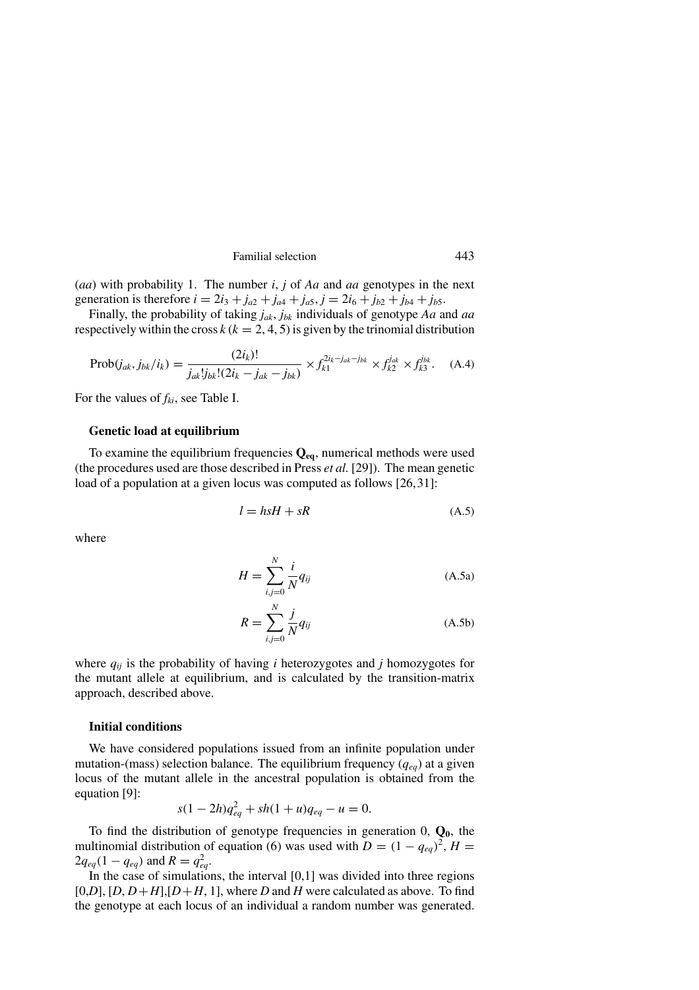Familial selection and 443

(*aa*) with probability 1. The number *i*, *j* of *Aa* and *aa* genotypes in the next generation is therefore  $i = 2i_3 + j_{a2} + j_{a4} + j_{a5}$ ,  $j = 2i_6 + j_{b2} + j_{b4} + j_{b5}$ .

Finally, the probability of taking *jak*, *jbk* individuals of genotype *Aa* and *aa* respectively within the cross  $k$  ( $k = 2, 4, 5$ ) is given by the trinomial distribution

$$
Prob(j_{ak}, j_{bk}/i_k) = \frac{(2i_k)!}{j_{ak}!j_{bk}!(2i_k - j_{ak} - j_{bk})} \times f_{k1}^{2i_k - j_{ak} - j_{bk}} \times f_{k2}^{j_{ak}} \times f_{k3}^{j_{bk}}.
$$
 (A.4)

For the values of *fki*, see Table I.

## **Genetic load at equilibrium**

To examine the equilibrium frequencies  $Q_{eq}$ , numerical methods were used (the procedures used are those described in Press *et al.* [29]). The mean genetic load of a population at a given locus was computed as follows [26,31]:

$$
l = hsH + sR \tag{A.5}
$$

where

$$
H = \sum_{i,j=0}^{N} \frac{i}{N} q_{ij}
$$
 (A.5a)

$$
R = \sum_{i,j=0}^{N} \frac{j}{N} q_{ij}
$$
 (A.5b)

where  $q_{ij}$  is the probability of having *i* heterozygotes and *j* homozygotes for the mutant allele at equilibrium, and is calculated by the transition-matrix approach, described above.

#### **Initial conditions**

We have considered populations issued from an infinite population under mutation-(mass) selection balance. The equilibrium frequency  $(q_{eq})$  at a given locus of the mutant allele in the ancestral population is obtained from the equation [9]:

$$
s(1 - 2h)q_{eq}^2 + sh(1 + u)q_{eq} - u = 0.
$$

To find the distribution of genotype frequencies in generation  $0$ ,  $Q_0$ , the multinomial distribution of equation (6) was used with  $D = (1 - q_{eq})^2$ ,  $H =$  $2q_{eq}(1 - q_{eq})$  and  $R = q_{eq}^2$ .

In the case of simulations, the interval  $[0,1]$  was divided into three regions  $[0,D], [D, D+H], [D+H, 1],$  where *D* and *H* were calculated as above. To find the genotype at each locus of an individual a random number was generated.